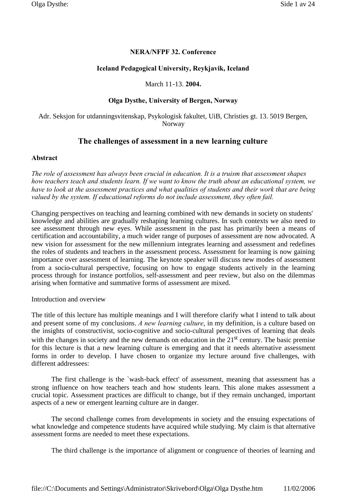# **NERA/NFPF 32. Conference**

#### **Iceland Pedagogical University, Reykjavik, Iceland**

#### March 11-13. **2004.**

# **Olga Dysthe, University of Bergen, Norway**

Adr. Seksjon for utdanningsvitenskap, Psykologisk fakultet, UiB, Christies gt. 13. 5019 Bergen, Norway

# **The challenges of assessment in a new learning culture**

#### **Abstract**

*The role of assessment has always been crucial in education. It is a truism that assessment shapes how teachers teach and students learn. If we want to know the truth about an educational system, we have to look at the assessment practices and what qualities of students and their work that are being valued by the system. If educational reforms do not include assessment, they often fail.*

Changing perspectives on teaching and learning combined with new demands in society on students' knowledge and abilities are gradually reshaping learning cultures. In such contexts we also need to see assessment through new eyes. While assessment in the past has primarily been a means of certification and accountability, a much wider range of purposes of assessment are now advocated. A new vision for assessment for the new millennium integrates learning and assessment and redefines the roles of students and teachers in the assessment process. Assessment for learning is now gaining importance over assessment of learning. The keynote speaker will discuss new modes of assessment from a socio-cultural perspective, focusing on how to engage students actively in the learning process through for instance portfolios, self-assessment and peer review, but also on the dilemmas arising when formative and summative forms of assessment are mixed.

Introduction and overview

The title of this lecture has multiple meanings and I will therefore clarify what I intend to talk about and present some of my conclusions. *A new learning culture*, in my definition, is a culture based on the insights of constructivist, socio-cognitive and socio-cultural perspectives of learning that deals with the changes in society and the new demands on education in the 21<sup>st</sup> century. The basic premise for this lecture is that a new learning culture is emerging and that it needs alternative assessment forms in order to develop. I have chosen to organize my lecture around five challenges, with different addressees:

The first challenge is the `wash-back effect' of assessment, meaning that assessment has a strong influence on how teachers teach and how students learn. This alone makes assessment a crucial topic. Assessment practices are difficult to change, but if they remain unchanged, important aspects of a new or emergent learning culture are in danger.

The second challenge comes from developments in society and the ensuing expectations of what knowledge and competence students have acquired while studying. My claim is that alternative assessment forms are needed to meet these expectations.

The third challenge is the importance of alignment or congruence of theories of learning and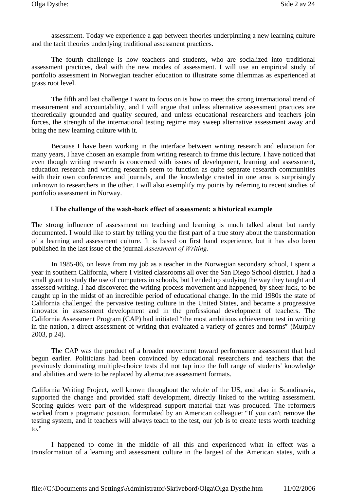assessment. Today we experience a gap between theories underpinning a new learning culture and the tacit theories underlying traditional assessment practices.

The fourth challenge is how teachers and students, who are socialized into traditional assessment practices, deal with the new modes of assessment. I will use an empirical study of portfolio assessment in Norwegian teacher education to illustrate some dilemmas as experienced at grass root level.

The fifth and last challenge I want to focus on is how to meet the strong international trend of measurement and accountability, and I will argue that unless alternative assessment practices are theoretically grounded and quality secured, and unless educational researchers and teachers join forces, the strength of the international testing regime may sweep alternative assessment away and bring the new learning culture with it.

Because I have been working in the interface between writing research and education for many years, I have chosen an example from writing research to frame this lecture. I have noticed that even though writing research is concerned with issues of development, learning and assessment, education research and writing research seem to function as quite separate research communities with their own conferences and journals, and the knowledge created in one area is surprisingly unknown to researchers in the other. I will also exemplify my points by referring to recent studies of portfolio assessment in Norway.

#### I.**The challenge of the wash-back effect of assessment: a historical example**

The strong influence of assessment on teaching and learning is much talked about but rarely documented. I would like to start by telling you the first part of a true story about the transformation of a learning and assessment culture. It is based on first hand experience, but it has also been published in the last issue of the journal *Assessment of Writing*.

In 1985-86, on leave from my job as a teacher in the Norwegian secondary school, I spent a year in southern California, where I visited classrooms all over the San Diego School district. I had a small grant to study the use of computers in schools, but I ended up studying the way they taught and assessed writing. I had discovered the writing process movement and happened, by sheer luck, to be caught up in the midst of an incredible period of educational change. In the mid 1980s the state of California challenged the pervasive testing culture in the United States, and became a progressive innovator in assessment development and in the professional development of teachers. The California Assessment Program (CAP) had initiated "the most ambitious achievement test in writing in the nation, a direct assessment of writing that evaluated a variety of genres and forms" (Murphy 2003, p 24).

The CAP was the product of a broader movement toward performance assessment that had begun earlier. Politicians had been convinced by educational researchers and teachers that the previously dominating multiple-choice tests did not tap into the full range of students' knowledge and abilities and were to be replaced by alternative assessment formats.

California Writing Project, well known throughout the whole of the US, and also in Scandinavia, supported the change and provided staff development, directly linked to the writing assessment. Scoring guides were part of the widespread support material that was produced. The reformers worked from a pragmatic position, formulated by an American colleague: "If you can't remove the testing system, and if teachers will always teach to the test, our job is to create tests worth teaching to."

I happened to come in the middle of all this and experienced what in effect was a transformation of a learning and assessment culture in the largest of the American states, with a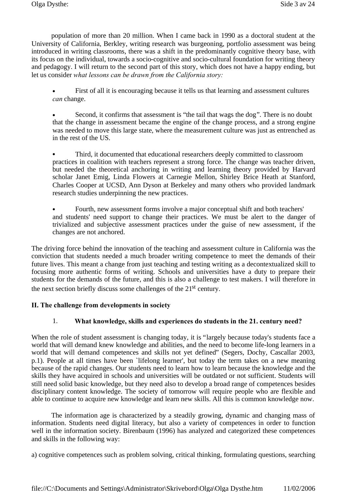population of more than 20 million. When I came back in 1990 as a doctoral student at the University of California, Berkley, writing research was burgeoning, portfolio assessment was being introduced in writing classrooms, there was a shift in the predominantly cognitive theory base, with its focus on the individual, towards a socio-cognitive and socio-cultural foundation for writing theory and pedagogy. I will return to the second part of this story, which does not have a happy ending, but let us consider *what lessons can be drawn from the California story:*

- First of all it is encouraging because it tells us that learning and assessment cultures *can* change.
- Second, it confirms that assessment is "the tail that wags the dog". There is no doubt that the change in assessment became the engine of the change process, and a strong engine was needed to move this large state, where the measurement culture was just as entrenched as in the rest of the US.
- Third, it documented that educational researchers deeply committed to classroom practices in coalition with teachers represent a strong force. The change was teacher driven, but needed the theoretical anchoring in writing and learning theory provided by Harvard scholar Janet Emig, Linda Flowers at Carnegie Mellon, Shirley Brice Heath at Stanford, Charles Cooper at UCSD, Ann Dyson at Berkeley and many others who provided landmark research studies underpinning the new practices.
- Fourth, new assessment forms involve a major conceptual shift and both teachers' and students' need support to change their practices. We must be alert to the danger of trivialized and subjective assessment practices under the guise of new assessment, if the changes are not anchored.

The driving force behind the innovation of the teaching and assessment culture in California was the conviction that students needed a much broader writing competence to meet the demands of their future lives. This meant a change from just teaching and testing writing as a decontextualized skill to focusing more authentic forms of writing. Schools and universities have a duty to prepare their students for the demands of the future, and this is also a challenge to test makers. I will therefore in the next section briefly discuss some challenges of the 21st century.

# **II. The challenge from developments in society**

# 1. **What knowledge, skills and experiences do students in the 21. century need?**

When the role of student assessment is changing today, it is "largely because today's students face a world that will demand knew knowledge and abilities, and the need to become life-long learners in a world that will demand competences and skills not yet defined" (Segers, Dochy, Cascallar 2003, p.1). People at all times have been `lifelong learner', but today the term takes on a new meaning because of the rapid changes. Our students need to learn how to learn because the knowledge and the skills they have acquired in schools and universities will be outdated or not sufficient. Students will still need solid basic knowledge, but they need also to develop a broad range of competences besides disciplinary content knowledge. The society of tomorrow will require people who are flexible and able to continue to acquire new knowledge and learn new skills. All this is common knowledge now.

The information age is characterized by a steadily growing, dynamic and changing mass of information. Students need digital literacy, but also a variety of competences in order to function well in the information society. Birenbaum (1996) has analyzed and categorized these competences and skills in the following way:

a) cognitive competences such as problem solving, critical thinking, formulating questions, searching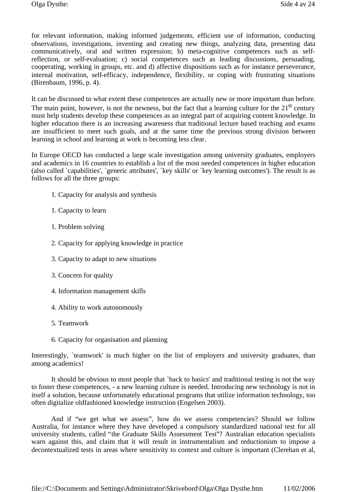for relevant information, making informed judgements, efficient use of information, conducting observations, investigations, inventing and creating new things, analyzing data, presenting data communicatively, oral and written expression; b) meta-cognitive competences such as selfreflection, or self-evaluation; c) social competences such as leading discussions, persuading, cooperating, working in groups, etc. and d) affective dispositions such as for instance perseverance, internal motivation, self-efficacy, independence, flexibility, or coping with frustrating situations (Birenbaum, 1996, p. 4).

It can be discussed to what extent these competences are actually new or more important than before. The main point, however, is not the newness, but the fact that a learning culture for the  $21<sup>st</sup>$  century must help students develop these competences as an integral part of acquiring content knowledge. In higher education there is an increasing awareness that traditional lecture based teaching and exams are insufficient to meet such goals, and at the same time the previous strong division between learning in school and learning at work is becoming less clear.

In Europe OECD has conducted a large scale investigation among university graduates, employers and academics in 16 countries to establish a list of the most needed competences in higher education (also called `capabilities', `generic attributes', `key skills' or `key learning outcomes'). The result is as follows for all the three groups:

- 1. Capacity for analysis and synthesis
- 1. Capacity to learn
- 1. Problem solving
- 2. Capacity for applying knowledge in practice
- 3. Capacity to adapt to new situations
- 3. Concern for quality
- 4. Information management skills
- 4. Ability to work autonomously
- 5. Teamwork
- 6. Capacity for organisation and planning

Interestingly, 'teamwork' is much higher on the list of employers and university graduates, than among academics!

It should be obvious to most people that `back to basics' and traditional testing is not the way to foster these competences, - a new learning culture is needed. Introducing new technology is not in itself a solution, because unfortunately educational programs that utilize information technology, too often digitalize oldfashioned knowledge instruction (Engelsen 2003).

And if "we get what we assess", how do we assess competencies? Should we follow Australia, for instance where they have developed a compulsory standardized national test for all university students, called "the Graduate Skills Assessment Test"? Australian education specialists warn against this, and claim that it will result in instrumentalism and reductionism to impose a decontextualized tests in areas where sensitivity to context and culture is important (Clerehan et al,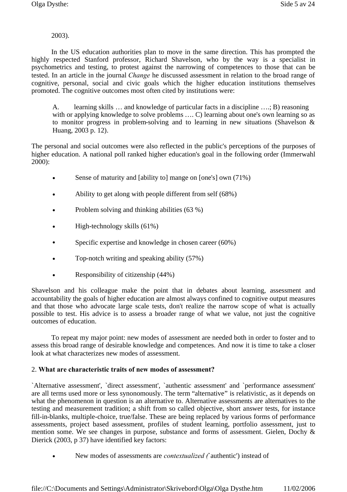### 2003).

In the US education authorities plan to move in the same direction. This has prompted the highly respected Stanford professor, Richard Shavelson, who by the way is a specialist in psychometrics and testing, to protest against the narrowing of competences to those that can be tested. In an article in the journal *Change* he discussed assessment in relation to the broad range of cognitive, personal, social and civic goals which the higher education institutions themselves promoted. The cognitive outcomes most often cited by institutions were:

A. learning skills … and knowledge of particular facts in a discipline ….; B) reasoning with or applying knowledge to solve problems .... C) learning about one's own learning so as to monitor progress in problem-solving and to learning in new situations (Shavelson & Huang, 2003 p. 12).

The personal and social outcomes were also reflected in the public's perceptions of the purposes of higher education. A national poll ranked higher education's goal in the following order (Immerwahl 2000):

- Sense of maturity and [ability to] mange on [one's] own (71%)
- Ability to get along with people different from self (68%)
- Problem solving and thinking abilities (63 %)
- High-technology skills (61%)
- Specific expertise and knowledge in chosen career (60%)
- Top-notch writing and speaking ability (57%)
- Responsibility of citizenship (44%)

Shavelson and his colleague make the point that in debates about learning, assessment and accountability the goals of higher education are almost always confined to cognitive output measures and that those who advocate large scale tests, don't realize the narrow scope of what is actually possible to test. His advice is to assess a broader range of what we value, not just the cognitive outcomes of education.

To repeat my major point: new modes of assessment are needed both in order to foster and to assess this broad range of desirable knowledge and competences. And now it is time to take a closer look at what characterizes new modes of assessment.

#### 2. **What are characteristic traits of new modes of assessment?**

`Alternative assessment', `direct assessment', `authentic assessment' and `performance assessment' are all terms used more or less synonomously. The term "alternative" is relativistic, as it depends on what the phenomenon in question is an alternative to. Alternative assessments are alternatives to the testing and measurement tradition; a shift from so called objective, short answer tests, for instance fill-in-blanks, multiple-choice, true/false. These are being replaced by various forms of performance assessments, project based assessment, profiles of student learning, portfolio assessment, just to mention some. We see changes in purpose, substance and forms of assessment. Gielen, Dochy & Dierick (2003, p 37) have identified key factors:

New modes of assessments are *contextualized (*`authentic') instead of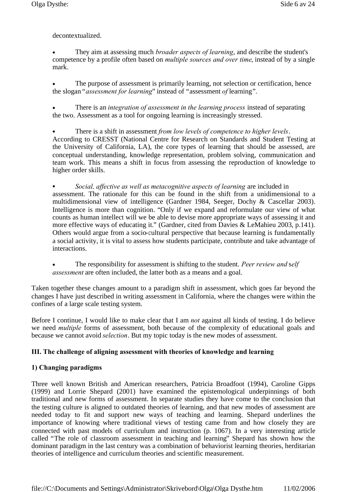decontextualized.

 They aim at assessing much *broader aspects of learning*, and describe the student's competence by a profile often based on *multiple sources and over time*, instead of by a single mark.

 The purpose of assessment is primarily learning, not selection or certification, hence the slogan "*assessment for learning*" instead of "assessment *of* learning".

 There is an *integration of assessment in the learning process* instead of separating the two. Assessment as a tool for ongoing learning is increasingly stressed.

 There is a shift in assessment *from low levels of competence to higher levels*. According to CRESST (National Centre for Research on Standards and Student Testing at the University of California, LA), the core types of learning that should be assessed, are conceptual understanding, knowledge representation, problem solving, communication and team work. This means a shift in focus from assessing the reproduction of knowledge to higher order skills.

 *Social, affective as well as metacognitive aspects of learning* are included in assessment. The rationale for this can be found in the shift from a unidimensional to a multidimensional view of intelligence (Gardner 1984, Seeger, Dochy & Cascellar 2003). Intelligence is more than cognition. "Only if we expand and reformulate our view of what counts as human intellect will we be able to devise more appropriate ways of assessing it and more effective ways of educating it." (Gardner, cited from Davies & LeMahieu 2003, p.141). Others would argue from a socio-cultural perspective that because learning is fundamentally a social activity, it is vital to assess how students participate, contribute and take advantage of interactions.

 The responsibility for assessment is shifting to the student. *Peer review and* s*elf assessment* are often included, the latter both as a means and a goal.

Taken together these changes amount to a paradigm shift in assessment, which goes far beyond the changes I have just described in writing assessment in California, where the changes were within the confines of a large scale testing system.

Before I continue, I would like to make clear that I am *not* against all kinds of testing. I do believe we need *multiple* forms of assessment, both because of the complexity of educational goals and because we cannot avoid *selection*. But my topic today is the new modes of assessment.

# **III. The challenge of aligning assessment with theories of knowledge and learning**

#### **1) Changing paradigms**

Three well known British and American researchers, Patricia Broadfoot (1994), Caroline Gipps (1999) and Lorrie Shepard (2001) have examined the epistemological underpinnings of both traditional and new forms of assessment. In separate studies they have come to the conclusion that the testing culture is aligned to outdated theories of learning, and that new modes of assessment are needed today to fit and support new ways of teaching and learning. Shepard underlines the importance of knowing where traditional views of testing came from and how closely they are connected with past models of curriculum and instruction (p. 1067). In a very interesting article called "The role of classroom assessment in teaching and learning" Shepard has shown how the dominant paradigm in the last century was a combination of behaviorist learning theories, herditarian theories of intelligence and curriculum theories and scientific measurement.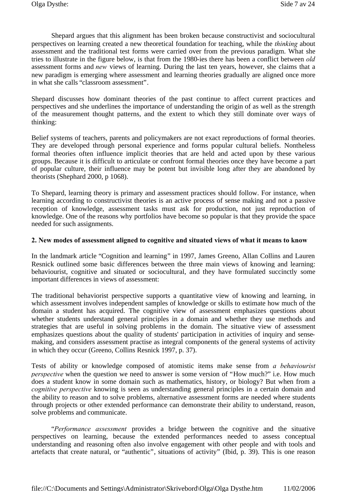Shepard argues that this alignment has been broken because constructivist and sociocultural perspectives on learning created a new theoretical foundation for teaching, while the *thinking* about assessment and the traditional test forms were carried over from the previous paradigm. What she tries to illustrate in the figure below, is that from the 1980-ies there has been a conflict between *old* assessment forms and *new* views of learning. During the last ten years, however, she claims that a new paradigm is emerging where assessment and learning theories gradually are aligned once more in what she calls "classroom assessment".

Shepard discusses how dominant theories of the past continue to affect current practices and perspectives and she underlines the importance of understanding the origin of as well as the strength of the measurement thought patterns, and the extent to which they still dominate over ways of thinking:

Belief systems of teachers, parents and policymakers are not exact reproductions of formal theories. They are developed through personal experience and forms popular cultural beliefs. Nontheless formal theories often influence implicit theories that are held and acted upon by these various groups. Because it is difficult to articulate or confront formal theories once they have become a part of popular culture, their influence may be potent but invisible long after they are abandoned by theorists (Shephard 2000, p 1068).

To Shepard, learning theory is primary and assessment practices should follow. For instance, when learning according to constructivist theories is an active process of sense making and not a passive reception of knowledge, assessment tasks must ask for production, not just reproduction of knowledge. One of the reasons why portfolios have become so popular is that they provide the space needed for such assignments.

#### **2. New modes of assessment aligned to cognitive and situated views of what it means to know**

In the landmark article "Cognition and learning" in 1997, James Greeno, Allan Collins and Lauren Resnick outlined some basic differences between the three main views of knowing and learning: behaviourist, cognitive and situated or sociocultural, and they have formulated succinctly some important differences in views of assessment:

The traditional behaviorist perspective supports a quantitative view of knowing and learning, in which assessment involves independent samples of knowledge or skills to estimate how much of the domain a student has acquired. The cognitive view of assessment emphasizes questions about whether students understand general principles in a domain and whether they use methods and strategies that are useful in solving problems in the domain. The situative view of assessment emphasizes questions about the quality of students' participation in activities of inquiry and sensemaking, and considers assessment practise as integral components of the general systems of activity in which they occur (Greeno, Collins Resnick 1997, p. 37).

Tests of ability or knowledge composed of atomistic items make sense from *a behaviourist perspective* when the question we need to answer is some version of "How much?" i.e. How much does a student know in some domain such as mathematics, history, or biology? But when from a *cognitive perspective* knowing is seen as understanding general principles in a certain domain and the ability to reason and to solve problems, alternative assessment forms are needed where students through projects or other extended performance can demonstrate their ability to understand, reason, solve problems and communicate.

"*Performance assessment* provides a bridge between the cognitive and the situative perspectives on learning, because the extended performances needed to assess conceptual understanding and reasoning often also involve engagement with other people and with tools and artefacts that create natural, or "authentic", situations of activity" (Ibid, p. 39). This is one reason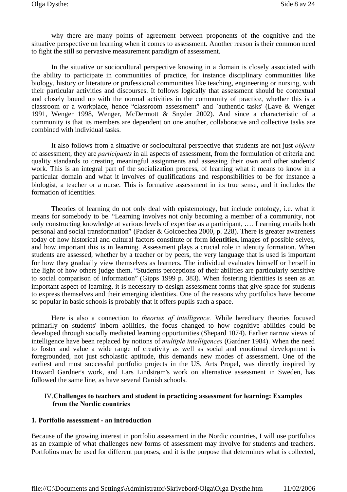why there are many points of agreement between proponents of the cognitive and the situative perspective on learning when it comes to assessment. Another reason is their common need to fight the still so pervasive measurement paradigm of assessment.

In the situative or sociocultural perspective knowing in a domain is closely associated with the ability to participate in communities of practice, for instance disciplinary communities like biology, history or literature or professional communities like teaching, engineering or nursing, with their particular activities and discourses. It follows logically that assessment should be contextual and closely bound up with the normal activities in the community of practice, whether this is a classroom or a workplace, hence "classroom assessment" and `authentic tasks' (Lave & Wenger 1991, Wenger 1998, Wenger, McDermott & Snyder 2002). And since a characteristic of a community is that its members are dependent on one another, collaborative and collective tasks are combined with individual tasks.

It also follows from a situative or sociocultural perspective that students are not just *objects* of assessment, they are *participants* in all aspects of assessment, from the formulation of criteria and quality standards to creating meaningful assignments and assessing their own and other students' work. This is an integral part of the socialization process, of learning what it means to know in a particular domain and what it involves of qualifications and responsibilities to be for instance a biologist, a teacher or a nurse. This is formative assessment in its true sense, and it includes the formation of identities.

Theories of learning do not only deal with epistemology, but include ontology, i.e. what it means for somebody to be. "Learning involves not only becoming a member of a community, not only constructing knowledge at various levels of expertise as a participant, …. Learning entails both personal and social transformation" (Packer & Goicoechea 2000, p. 228). There is greater awareness today of how historical and cultural factors constitute or form **identities,** images of possible selves, and how important this is in learning. Assessment plays a crucial role in identity formation. When students are assessed, whether by a teacher or by peers, the very language that is used is important for how they gradually view themselves as learners. The individual evaluates himself or herself in the light of how others judge them. "Students perceptions of their abilities are particularly sensitive to social comparison of information" (Gipps 1999 p. 383). When fostering identities is seen as an important aspect of learning, it is necessary to design assessment forms that give space for students to express themselves and their emerging identities. One of the reasons why portfolios have become so popular in basic schools is probably that it offers pupils such a space.

Here is also a connection to *theories of intelligence.* While hereditary theories focused primarily on students' inborn abilities, the focus changed to how cognitive abilities could be developed through socially mediated learning opportunities (Shepard 1074). Earlier narrow views of intelligence have been replaced by notions of *multiple intelligences* (Gardner 1984). When the need to foster and value a wide range of creativity as well as social and emotional development is foregrounded, not just scholastic aptitude, this demands new modes of assessment. One of the earliest and most successful portfolio projects in the US, Arts Propel, was directly inspired by Howard Gardner's work, and Lars Lindstrøm's work on alternative assessment in Sweden, has followed the same line, as have several Danish schools.

#### IV.**Challenges to teachers and student in practicing assessment for learning: Examples from the Nordic countries**

#### **1. Portfolio assessment - an introduction**

Because of the growing interest in portfolio assessment in the Nordic countries, I will use portfolios as an example of what challenges new forms of assessment may involve for students and teachers. Portfolios may be used for different purposes, and it is the purpose that determines what is collected,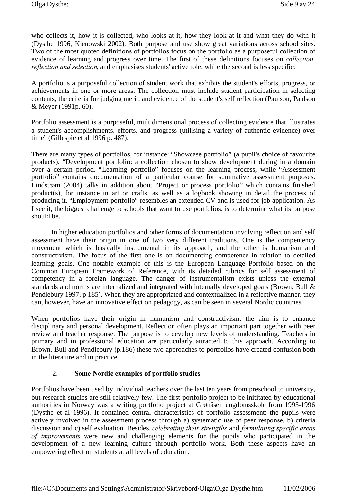who collects it, how it is collected, who looks at it, how they look at it and what they do with it (Dysthe 1996, Klenowski 2002). Both purpose and use show great variations across school sites. Two of the most quoted definitions of portfolios focus on the portfolio as a purposeful collection of evidence of learning and progress over time. The first of these definitions focuses on *collection, reflection and selection*, and emphasises students' active role, while the second is less specific:

A portfolio is a purposeful collection of student work that exhibits the student's efforts, progress, or achievements in one or more areas. The collection must include student participation in selecting contents, the criteria for judging merit, and evidence of the student's self reflection (Paulson, Paulson & Meyer (1991p. 60).

Portfolio assessment is a purposeful, multidimensional process of collecting evidence that illustrates a student's accomplishments, efforts, and progress (utilising a variety of authentic evidence) over time" (Gillespie et al 1996 p. 487).

There are many types of portfolios, for instance: "Showcase portfolio" (a pupil's choice of favourite products), "Development portfolio: a collection chosen to show development during in a domain over a certain period. "Learning portfolio" focuses on the learning process, while "Assessment portfolio" contains documentation of a particular course for summative assessment purposes. Lindstrøm (2004) talks in addition about "Project or process portfolio" which contains finished product(s), for instance in art or crafts, as well as a logbook showing in detail the process of producing it. "Employment portfolio" resembles an extended CV and is used for job application. As I see it, the biggest challenge to schools that want to use portfolios, is to determine what its purpose should be.

In higher education portfolios and other forms of documentation involving reflection and self assessment have their origin in one of two very different traditions. One is the compentency movement which is basically instrumental in its approach, and the other is humanism and constructivism. The focus of the first one is on documenting competence in relation to detailed learning goals. One notable example of this is the European Language Portfolio based on the Common European Framework of Reference, with its detailed rubrics for self assessment of competency in a foreign language. The danger of instrumentalism exists unless the external standards and norms are internalized and integrated with internally developed goals (Brown, Bull & Pendlebury 1997, p 185). When they are appropriated and contextualized in a reflective manner, they can, however, have an innovative effect on pedagogy, as can be seen in several Nordic countries.

When portfolios have their origin in humanism and constructivism, the aim is to enhance disciplinary and personal development. Reflection often plays an important part together with peer review and teacher response. The purpose is to develop new levels of understanding. Teachers in primary and in professional education are particularly attracted to this approach. According to Brown, Bull and Pendlebury (p.186) these two approaches to portfolios have created confusion both in the literature and in practice.

# 2. **Some Nordic examples of portfolio studies**

Portfolios have been used by individual teachers over the last ten years from preschool to university, but research studies are still relatively few. The first portfolio project to be inititated by educational authorities in Norway was a writing portfolio project at Grønåsen ungdomsskole from 1993-1996 (Dysthe et al 1996). It contained central characteristics of portfolio assessment: the pupils were actively involved in the assessment process through a) systematic use of peer response, b) criteria discussion and c) self evaluation. Besides, *celebrating their strengths* and *formulating specific areas of improvements* were new and challenging elements for the pupils who participated in the development of a new learning culture through portfolio work. Both these aspects have an empowering effect on students at all levels of education.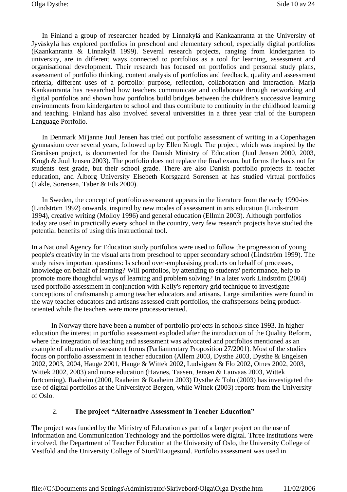In Finland a group of researcher headed by Linnakylä and Kankaanranta at the University of Jyväskylä has explored portfolios in preschool and elementary school, especially digital portfolios (Kaankanranta & Linnakylä 1999). Several research projects, ranging from kindergarten to university, are in different ways connected to portfolios as a tool for learning, assessment and organisational development. Their research has focused on portfolios and personal study plans, assessment of portfolio thinking, content analysis of portfolios and feedback, quality and assessment criteria, different uses of a portfolio: purpose, reflection, collaboration and interaction. Marja Kankaanranta has researched how teachers communicate and collaborate through networking and digital portfolios and shown how portfolios build bridges between the children's successive learning environments from kindergarten to school and thus contribute to continuity in the childhood learning and teaching. Finland has also involved several universities in a three year trial of the European Language Portfolio.

In Denmark Mi'janne Juul Jensen has tried out portfolio assessment of writing in a Copenhagen gymnasium over several years, followed up by Ellen Krogh. The project, which was inspired by the Grønåsen project, is documented for the Danish Ministry of Education (Juul Jensen 2000, 2003, Krogh & Juul Jensen 2003). The portfolio does not replace the final exam, but forms the basis not for students' test grade, but their school grade. There are also Danish portfolio projects in teacher education, and Ålborg University Elsebeth Korsgaard Sorensen at has studied virtual portfolios (Takle, Sorensen, Taber & Fils 2000).

In Sweden, the concept of portfolio assessment appears in the literature from the early 1990-ies (Lindström 1992) onwards, inspired by new modes of assessment in arts education (Linds-tröm 1994), creative writing (Molloy 1996) and general education (Ellmin 2003). Although portfolios today are used in practically every school in the country, very few research projects have studied the potential benefits of using this instructional tool.

In a National Agency for Education study portfolios were used to follow the progression of young people's creativity in the visual arts from preschool to upper secondary school (Lindström 1999). The study raises important questions: Is school over-emphasising products on behalf of processes, knowledge on behalf of learning? Will portfolios, by attending to students' performance, help to promote more thoughtful ways of learning and problem solving? In a later work Lindström (2004) used portfolio assessment in conjunction with Kelly's repertory grid technique to investigate conceptions of craftsmanship among teacher educators and artisans. Large similarities were found in the way teacher educators and artisans assessed craft portfolios, the craftspersons being productoriented while the teachers were more process-oriented.

In Norway there have been a number of portfolio projects in schools since 1993. In higher education the interest in portfolio assessment exploded after the introduction of the Quality Reform, where the integration of teaching and assessment was advocated and portfolios mentioned as an example of alternative assessment forms (Parliamentary Proposition 27/2001). Most of the studies focus on portfolio assessment in teacher education (Allern 2003, Dysthe 2003, Dysthe & Engelsen 2002, 2003, 2004, Hauge 2001, Hauge & Wittek 2002, Ludvigsen & Flo 2002, Otnes 2002, 2003, Wittek 2002, 2003) and nurse education (Havnes, Taasen, Jensen & Lauvaas 2003, Wittek fortcoming). Raaheim (2000, Raaheim & Raaheim 2003) Dysthe & Tolo (2003) has investigated the use of digital portfolios at the Universityof Bergen, while Wittek (2003) reports from the University of Oslo.

# 2. **The project "Alternative Assessment in Teacher Education"**

The project was funded by the Ministry of Education as part of a larger project on the use of Information and Communication Technology and the portfolios were digital. Three institutions were involved, the Department of Teacher Education at the University of Oslo, the University College of Vestfold and the University College of Stord/Haugesund. Portfolio assessment was used in

file://C:\Documents and Settings\Administrator\Skrivebord\Olga\Olga Dysthe.htm 11/02/2006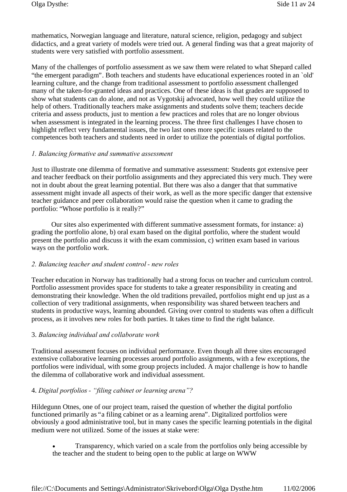mathematics, Norwegian language and literature, natural science, religion, pedagogy and subject didactics, and a great variety of models were tried out. A general finding was that a great majority of students were very satisfied with portfolio assessment.

Many of the challenges of portfolio assessment as we saw them were related to what Shepard called "the emergent paradigm". Both teachers and students have educational experiences rooted in an `old' learning culture, and the change from traditional assessment to portfolio assessment challenged many of the taken-for-granted ideas and practices. One of these ideas is that grades are supposed to show what students can do alone, and not as Vygotskij advocated, how well they could utilize the help of others. Traditionally teachers make assignments and students solve them; teachers decide criteria and assess products, just to mention a few practices and roles that are no longer obvious when assessment is integrated in the learning process. The three first challenges I have chosen to highlight reflect very fundamental issues, the two last ones more specific issues related to the competences both teachers and students need in order to utilize the potentials of digital portfolios.

#### *1. Balancing formative and summative assessment*

Just to illustrate one dilemma of formative and summative assessment: Students got extensive peer and teacher feedback on their portfolio assignments and they appreciated this very much. They were not in doubt about the great learning potential. But there was also a danger that that summative assessment might invade all aspects of their work, as well as the more specific danger that extensive teacher guidance and peer collaboration would raise the question when it came to grading the portfolio: "Whose portfolio is it really?"

Our sites also experimented with different summative assessment formats, for instance: a) grading the portfolio alone, b) oral exam based on the digital portfolio, where the student would present the portfolio and discuss it with the exam commission, c) written exam based in various ways on the portfolio work.

#### *2. Balancing teacher and student control - new roles*

Teacher education in Norway has traditionally had a strong focus on teacher and curriculum control. Portfolio assessment provides space for students to take a greater responsibility in creating and demonstrating their knowledge. When the old traditions prevailed, portfolios might end up just as a collection of very traditional assignments, when responsibility was shared between teachers and students in productive ways, learning abounded. Giving over control to students was often a difficult process, as it involves new roles for both parties. It takes time to find the right balance.

# 3. *Balancing individual and collaborate work*

Traditional assessment focuses on individual performance. Even though all three sites encouraged extensive collaborative learning processes around portfolio assignments, with a few exceptions, the portfolios were individual, with some group projects included. A major challenge is how to handle the dilemma of collaborative work and individual assessment.

# 4. *Digital portfolios - "filing cabinet or learning arena"?*

Hildegunn Otnes, one of our project team, raised the question of whether the digital portfolio functioned primarily as "a filing cabinet or as a learning arena". Digitalized portfolios were obviously a good administrative tool, but in many cases the specific learning potentials in the digital medium were not utilized. Some of the issues at stake were:

 Transparency, which varied on a scale from the portfolios only being accessible by the teacher and the student to being open to the public at large on WWW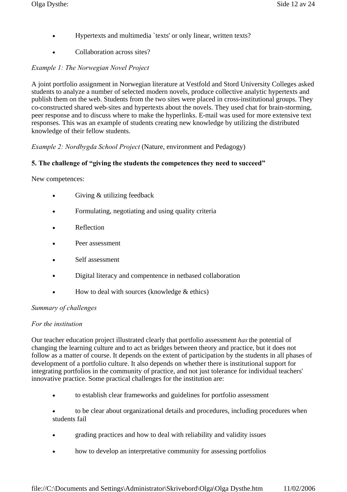- Hypertexts and multimedia `texts' or only linear, written texts?
- Collaboration across sites?

# *Example 1: The Norwegian Novel Project*

A joint portfolio assignment in Norwegian literature at Vestfold and Stord University Colleges asked students to analyze a number of selected modern novels, produce collective analytic hypertexts and publish them on the web. Students from the two sites were placed in cross-institutional groups. They co-constructed shared web-sites and hypertexts about the novels. They used chat for brain-storming, peer response and to discuss where to make the hyperlinks. E-mail was used for more extensive text responses. This was an example of students creating new knowledge by utilizing the distributed knowledge of their fellow students.

*Example 2: Nordbygda School Project* (Nature, environment and Pedagogy)

# **5. The challenge of "giving the students the competences they need to succeed"**

New competences:

- Giving & utilizing feedback
- Formulating, negotiating and using quality criteria
- Reflection
- Peer assessment
- Self assessment
- Digital literacy and compentence in netbased collaboration
- $\bullet$  How to deal with sources (knowledge  $\&$  ethics)

# *Summary of challenges*

# *For the institution*

Our teacher education project illustrated clearly that portfolio assessment *has*the potential of changing the learning culture and to act as bridges between theory and practice, but it does not follow as a matter of course. It depends on the extent of participation by the students in all phases of development of a portfolio culture. It also depends on whether there is institutional support for integrating portfolios in the community of practice, and not just tolerance for individual teachers' innovative practice. Some practical challenges for the institution are:

- to establish clear frameworks and guidelines for portfolio assessment
- to be clear about organizational details and procedures, including procedures when students fail
- grading practices and how to deal with reliability and validity issues
- how to develop an interpretative community for assessing portfolios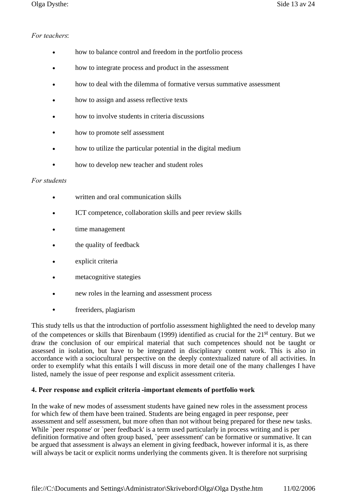# *For teachers*:

- how to balance control and freedom in the portfolio process
- how to integrate process and product in the assessment
- how to deal with the dilemma of formative versus summative assessment
- how to assign and assess reflective texts
- how to involve students in criteria discussions
- how to promote self assessment
- how to utilize the particular potential in the digital medium
- how to develop new teacher and student roles

#### *For students*

- written and oral communication skills
- ICT competence, collaboration skills and peer review skills
- time management
- the quality of feedback
- explicit criteria
- metacognitive stategies
- new roles in the learning and assessment process
- freeriders, plagiarism

This study tells us that the introduction of portfolio assessment highlighted the need to develop many of the competences or skills that Birenbaum (1999) identified as crucial for the 21st century. But we draw the conclusion of our empirical material that such competences should not be taught or assessed in isolation, but have to be integrated in disciplinary content work. This is also in accordance with a sociocultural perspective on the deeply contextualized nature of all activities. In order to exemplify what this entails I will discuss in more detail one of the many challenges I have listed, namely the issue of peer response and explicit assessment criteria.

# **4. Peer response and explicit criteria -important elements of portfolio work**

In the wake of new modes of assessment students have gained new roles in the assessment process for which few of them have been trained. Students are being engaged in peer response, peer assessment and self assessment, but more often than not without being prepared for these new tasks. While `peer response' or `peer feedback' is a term used particularly in process writing and is per definition formative and often group based, `peer assessment' can be formative or summative. It can be argued that assessment is always an element in giving feedback, however informal it is, as there will always be tacit or explicit norms underlying the comments given. It is therefore not surprising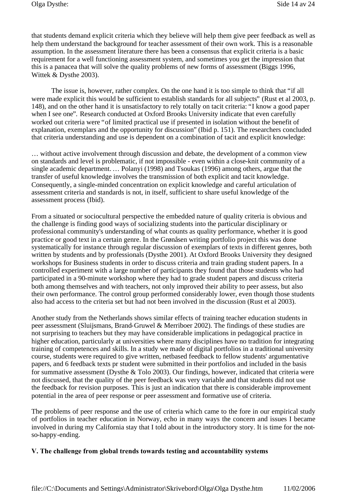that students demand explicit criteria which they believe will help them give peer feedback as well as help them understand the background for teacher assessment of their own work. This is a reasonable assumption. In the assessment literature there has been a consensus that explicit criteria is a basic requirement for a well functioning assessment system, and sometimes you get the impression that this is a panacea that will solve the quality problems of new forms of assessment (Biggs 1996, Wittek & Dysthe 2003).

The issue is, however, rather complex. On the one hand it is too simple to think that "if all were made explicit this would be sufficient to establish standards for all subjects" (Rust et al 2003, p. 148), and on the other hand it is unsatisfactory to rely totally on tacit criteria: "I know a good paper when I see one". Research conducted at Oxford Brooks University indicate that even carefully worked out criteria were "of limited practical use if presented in isolation without the benefit of explanation, exemplars and the opportunity for discussion" (Ibid p. 151). The researchers concluded that criteria understanding and use is dependent on a combination of tacit and explicit knowledge:

… without active involvement through discussion and debate, the development of a common view on standards and level is problematic, if not impossible - even within a close-knit community of a single academic department. … Polanyi (1998) and Tsoukas (1996) among others, argue that the transfer of useful knowledge involves the transmission of both explicit and tacit knowledge. Consequently, a single-minded concentration on explicit knowledge and careful articulation of assessment criteria and standards is not, in itself, sufficient to share useful knowledge of the assessment process (Ibid).

From a situated or sociocultural perspective the embedded nature of quality criteria is obvious and the challenge is finding good ways of socializing students into the particular disciplinary or professional community's understanding of what counts as quality performance, whether it is good practice or good text in a certain genre. In the Grønåsen writing portfolio project this was done systematically for instance through regular discussion of exemplars of texts in different genres, both written by students and by professionals (Dysthe 2001). At Oxford Brooks University they designed workshops for Business students in order to discuss criteria and train grading student papers. In a controlled experiment with a large number of participants they found that those students who had participated in a 90-minute workshop where they had to grade student papers and discuss criteria both among themselves and with teachers, not only improved their ability to peer assess, but also their own performance. The control group performed considerably lower, even though those students also had access to the criteria set but had not been involved in the discussion (Rust et al 2003).

Another study from the Netherlands shows similar effects of training teacher education students in peer assessment (Sluijsmans, Brand-Gruwel & Merriboer 2002). The findings of these studies are not surprising to teachers but they may have considerable implications in pedagogical practice in higher education, particularly at universities where many disciplines have no tradition for integrating training of competences and skills. In a study we made of digital portfolios in a traditional university course, students were required to give written, netbased feedback to fellow students' argumentative papers, and 6 feedback texts pr student were submitted in their portfolios and included in the basis for summative assessment (Dysthe & Tolo 2003). Our findings, however, indicated that criteria were not discussed, that the quality of the peer feedback was very variable and that students did not use the feedback for revision purposes. This is just an indication that there is considerable improvement potential in the area of peer response or peer assessment and formative use of criteria.

The problems of peer response and the use of criteria which came to the fore in our empirical study of portfolios in teacher education in Norway, echo in many ways the concern and issues I became involved in during my California stay that I told about in the introductory story. It is time for the notso-happy-ending.

# **V. The challenge from global trends towards testing and accountability systems**

file://C:\Documents and Settings\Administrator\Skrivebord\Olga\Olga Dysthe.htm 11/02/2006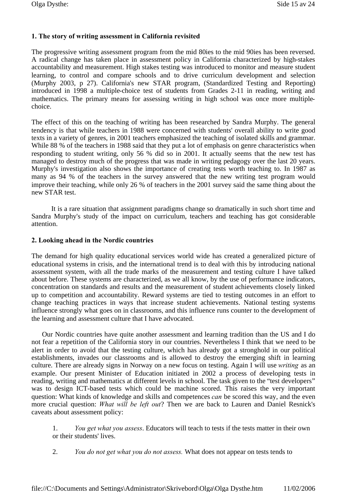### **1. The story of writing assessment in California revisited**

The progressive writing assessment program from the mid 80ies to the mid 90ies has been reversed. A radical change has taken place in assessment policy in California characterized by high-stakes accountability and measurement. High stakes testing was introduced to monitor and measure student learning, to control and compare schools and to drive curriculum development and selection (Murphy 2003, p 27). California's new STAR program, (Standardized Testing and Reporting) introduced in 1998 a multiple-choice test of students from Grades 2-11 in reading, writing and mathematics. The primary means for assessing writing in high school was once more multiplechoice.

The effect of this on the teaching of writing has been researched by Sandra Murphy. The general tendency is that while teachers in 1988 were concerned with students' overall ability to write good texts in a variety of genres, in 2001 teachers emphasized the teaching of isolated skills and grammar. While 88 % of the teachers in 1988 said that they put a lot of emphasis on genre characteristics when responding to student writing, only 56 % did so in 2001. It actually seems that the new test has managed to destroy much of the progress that was made in writing pedagogy over the last 20 years. Murphy's investigation also shows the importance of creating tests worth teaching to. In 1987 as many as 94 % of the teachers in the survey answered that the new writing test program would improve their teaching, while only 26 % of teachers in the 2001 survey said the same thing about the new STAR test.

It is a rare situation that assignment paradigms change so dramatically in such short time and Sandra Murphy's study of the impact on curriculum, teachers and teaching has got considerable attention.

#### **2. Looking ahead in the Nordic countries**

The demand for high quality educational services world wide has created a generalized picture of educational systems in crisis, and the international trend is to deal with this by introducing national assessment system, with all the trade marks of the measurement and testing culture I have talked about before. These systems are characterized, as we all know, by the use of performance indicators, concentration on standards and results and the measurement of student achievements closely linked up to competition and accountability. Reward systems are tied to testing outcomes in an effort to change teaching practices in ways that increase student achievements. National testing systems influence strongly what goes on in classrooms, and this influence runs counter to the development of the learning and assessment culture that I have advocated.

Our Nordic countries have quite another assessment and learning tradition than the US and I do not fear a repetition of the California story in our countries. Nevertheless I think that we need to be alert in order to avoid that the testing culture, which has already got a stronghold in our political establishments, invades our classrooms and is allowed to destroy the emerging shift in learning culture. There are already signs in Norway on a new focus on testing. Again I will use *writing* as an example. Our present Minister of Education initiated in 2002 a process of developing tests in reading, writing and mathematics at different levels in school. The task given to the "test developers" was to design ICT-based tests which could be machine scored. This raises the very important question: What kinds of knowledge and skills and competences *can* be scored this way, and the even more crucial question: *What will be left out*? Then we are back to Lauren and Daniel Resnick's caveats about assessment policy:

- 1. *You get what you assess*. Educators will teach to tests if the tests matter in their own or their students' lives.
- 2. *You do not get what you do not assess.* What does not appear on tests tends to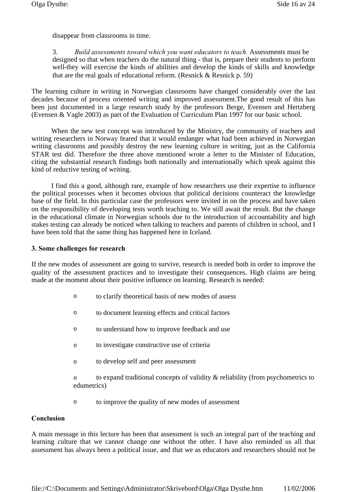disappear from classrooms in time.

3. *Build assessments toward which you want educators to teach.* Assessments must be designed so that when teachers do the natural thing - that is, prepare their students to perform well-they will exercise the kinds of abilities and develop the kinds of skills and knowledge that are the real goals of educational reform. (Resnick  $\&$  Resnick p. 59)

The learning culture in writing in Norwegian classrooms have changed considerably over the last decades because of process oriented writing and improved assessment.The good result of this has been just documented in a large research study by the professors Berge, Evensen and Hertzberg (Evensen & Vagle 2003) as part of the Evaluation of Curriculum Plan 1997 for our basic school.

When the new test concept was introduced by the Ministry, the community of teachers and writing researchers in Norway feared that it would endanger what had been achieved in Norwegian writing classrooms and possibly destroy the new learning culture in writing, just as the California STAR test did. Therefore the three above mentioned wrote a letter to the Minister of Education, citing the substantial research findings both nationally and internationally which speak against this kind of reductive testing of writing.

I find this a good, although rare, example of how researchers use their expertise to influence the political processes when it becomes obvious that political decisions counteract the knowledge base of the field. In this particular case the professors were invited in on the process and have taken on the responsibility of developing tests worth teaching to. We still await the result. But the change in the educational climate in Norwegian schools due to the introduction of accountability and high stakes testing can already be noticed when talking to teachers and parents of children in school, and I have been told that the same thing has happened here in Iceland.

#### **3. Some challenges for research**

If the new modes of assessment are going to survive, research is needed both in order to improve the quality of the assessment practices and to investigate their consequences. High claims are being made at the moment about their positive influence on learning. Research is needed:

- o to clarify theoretical basis of new modes of assess
- o to document learning effects and critical factors
- o to understand how to improve feedback and use
- o to investigate constructive use of criteria
- o to develop self and peer assessment

o to expand traditional concepts of validity & reliability (from psychometrics to edumetrics)

o to improve the quality of new modes of assessment

#### **Conclusion**

A main message in this lecture has been that assessment is such an integral part of the teaching and learning culture that we cannot change one without the other. I have also reminded us all that assessment has always been a political issue, and that we as educators and researchers should not be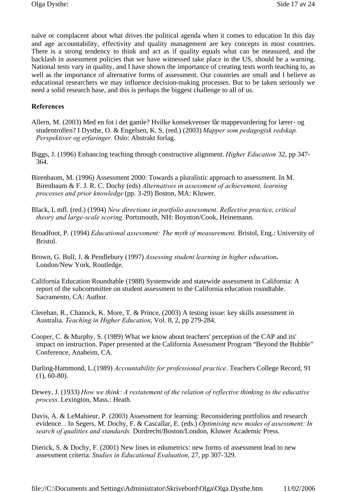naïve or complacent about what drives the political agenda when it comes to education In this day and age accountability, effectivity and quality management are key concepts in most countries. There is a strong tendency to think and act as if quality equals what can be measured, and the backlash in assessment policies that we have witnessed take place in the US, should be a warning. National tests vary in quality, and I have shown the importance of creating tests worth teaching to, as well as the importance of alternative forms of assessment. Our countries are small and I believe as educational researchers we may influence decision-making processes. But to be taken seriously we need a solid research base, and this is perhaps the biggest challenge to all of us.

#### **References**

- Allern, M. (2003) Med en fot i det gamle? Hvilke konsekvenser får mappevurdering for lærer- og studentrollen? I Dysthe, O. & Engelsen, K. S. (red.) (2003) *Mapper som pedagogisk redskap. Perspektiver og erfaringer.* Oslo: Abstrakt forlag.
- Biggs, J. (1996) Enhancing teaching through constructive alignment. *Higher Education* 32, pp 347- 364.
- Birenbaum, M. (1996) Assessment 2000: Towards a pluralistic approach to assessment. In M. Birenbaum & F. J. R. C. Dochy (eds) *Alternatives in assessment of achievement, learning processes and prior knowledge* (pp. 3-29) Boston, MA: Kluwer.
- Black, I, mfl. (red.) (1994) *New directions in portfolio assessment. Reflective practice, critical theory and large-scale scoring.* Portsmouth, NH: Boynton/Cook, Heinemann.
- Broadfoot, P. (1994) *Educational assessment: The myth of measurement.* Bristol, Eng.: University of Bristol.
- Brown, G. Bull, J. & Pendlebury (1997) *Assessing student learning in higher education***.** London/New York, Routledge.
- California Education Roundtable (1988) Systemwide and statewide assessment in California: A report of the subcommittee on student assessment to the California education roundtable. Sacramento, CA: Author.
- Clerehan, R., Chanock, K. More, T. & Prince, (2003) A testing issue: key skills assessment in Australia. *Teaching in Higher Education*, Vol. 8, 2, pp 279-284.
- Cooper, C. & Murphy, S. (1989) What we know about teachers' perception of the CAP and its' impact on instruction. Paper presented at the California Assessment Program "Beyond the Bubble" Conference, Anaheim, CA.
- Darling-Hammond, L.(1989) *Accountability for professional practice*. Teachers College Record, 91 (1), 60-80).
- Dewey, J. (1933) *How we think: A restatement of the relation of reflective thinking to the educative process.* Lexington, Mass.: Heath.
- Davis, A. & LeMahieur, P. (2003) Assessment for learning: Reconsidering portfolios and research evidence. . In Segers, M. Dochy, F. & Cascallar, E. (eds.) *Optimising new modes of assessment: In search of qualities and standards.* Dordrecht/Boston/London, Kluwer Academic Press.
- Dierick, S. & Dochy, F. (2001) New lines in edumetrics: new forms of assessment lead to new assessment criteria. *Studies in Educational Evaluation*, 27, pp 307-329.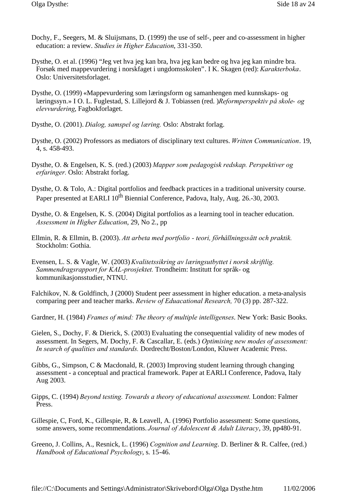- Dochy, F., Seegers, M. & Sluijsmans, D. (1999) the use of self-, peer and co-assessment in higher education: a review. *Studies in Higher Education*, 331-350.
- Dysthe, O. et al. (1996) "Jeg vet hva jeg kan bra, hva jeg kan bedre og hva jeg kan mindre bra. Forsøk med mappevurdering i norskfaget i ungdomsskolen". I K. Skagen (red): *Karakterboka*. Oslo: Universitetsforlaget.
- Dysthe, O. (1999) «Mappevurdering som læringsform og samanhengen med kunnskaps- og læringssyn.» I O. L. Fuglestad, S. Lillejord & J. Tobiassen (red. )*Reformperspektiv på skole- og elevvurdering*, Fagbokforlaget.
- Dysthe, O. (2001). *Dialog, samspel og læring.* Oslo: Abstrakt forlag.
- Dysthe, O. (2002) Professors as mediators of disciplinary text cultures. *Written Communication*. 19, 4, s. 458-493.
- Dysthe, O. & Engelsen, K. S. (red.) (2003) *Mapper som pedagogisk redskap. Perspektiver og erfaringer.* Oslo: Abstrakt forlag.
- Dysthe, O. & Tolo, A.: Digital portfolios and feedback practices in a traditional university course. Paper presented at EARLI 10<sup>th</sup> Biennial Conference, Padova, Italy, Aug. 26.-30, 2003.
- Dysthe, O. & Engelsen, K. S. (2004) Digital portfolios as a learning tool in teacher education. *Assessment in Higher Education*, 29, No 2., pp
- Ellmin, R. & Ellmin, B. (2003). *Att arbeta med portfolio - teori, förhållningssätt och praktik.* Stockholm: Gothia.
- Evensen, L. S. & Vagle, W. (2003) *Kvalitetssikring av læringsutbyttet i norsk skriftlig. Sammendragsrapport for KAL-prosjektet.* Trondheim: Institutt for språk- og kommunikasjonsstudier, NTNU.
- Falchikov, N. & Goldfinch, J (2000) Student peer assessment in higher education. a meta-analysis comparing peer and teacher marks. *Review of Eduacational Research,* 70 (3) pp. 287-322.
- Gardner, H. (1984) *Frames of mind: The theory of multiple intelligenses*. New York: Basic Books.
- Gielen, S., Dochy, F. & Dierick, S. (2003) Evaluating the consequential validity of new modes of assessment. In Segers, M. Dochy, F. & Cascallar, E. (eds.) *Optimising new modes of assessment: In search of qualities and standards.* Dordrecht/Boston/London, Kluwer Academic Press.
- Gibbs, G., Simpson, C & Macdonald, R. (2003) Improving student learning through changing assessment - a conceptual and practical framework. Paper at EARLI Conference, Padova, Italy Aug 2003.
- Gipps, C. (1994) *Beyond testing. Towards a theory of educational assessment.* London: Falmer Press.
- Gillespie, C, Ford, K., Gillespie, R, & Leavell, A. (1996) Portfolio assessment: Some questions, some answers, some recommendations. *Journal of Adolescent & Adult Literacy*, 39, pp480-91.
- Greeno, J. Collins, A., Resnick, L. (1996) *Cognition and Learning*. D. Berliner & R. Calfee, (red.) *Handbook of Educational Psychology*, s. 15-46.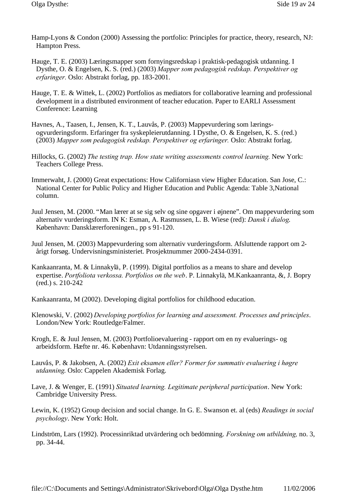- Hamp-Lyons & Condon (2000) Assessing the portfolio: Principles for practice, theory, research, NJ: Hampton Press.
- Hauge, T. E. (2003) Læringsmapper som fornyingsredskap i praktisk-pedagogisk utdanning. I Dysthe, O. & Engelsen, K. S. (red.) (2003) *Mapper som pedagogisk redskap. Perspektiver og erfaringer.* Oslo: Abstrakt forlag, pp. 183-2001.
- Hauge, T. E. & Wittek, L. (2002) Portfolios as mediators for collaborative learning and professional development in a distributed environment of teacher education. Paper to EARLI Assessment Conference: Learning
- Havnes, A., Taasen, I., Jensen, K. T., Lauvås, P. (2003) Mappevurdering som læringsogvurderingsform. Erfaringer fra syskepleierutdanning. I Dysthe, O. & Engelsen, K. S. (red.) (2003) *Mapper som pedagogisk redskap. Perspektiver og erfaringer.* Oslo: Abstrakt forlag.
- Hillocks, G. (2002) *The testing trap. How state writing assessments control learning.* New York: Teachers College Press.
- Immerwaht, J. (2000) Great expectations: How Californiasn view Higher Education. San Jose, C.: National Center for Public Policy and Higher Education and Public Agenda: Table 3,National column.
- Juul Jensen, M. (2000. "Man lærer at se sig selv og sine opgaver i øjnene". Om mappevurdering som alternativ vurderingsform. IN K: Esman, A. Rasmussen, L. B. Wiese (red): *Dansk i dialog*. København: Dansklærerforeningen., pp s 91-120.
- Juul Jensen, M. (2003) Mappevurdering som alternativ vurderingsform. Afsluttende rapport om 2 årigt forsøg. Undervisningsministeriet. Prosjektnummer 2000-2434-0391.
- Kankaanranta, M. & Linnakylä, P. (1999). Digital portfolios as a means to share and develop expertise. *Portfoliota verkossa. Portfolios on the web*. P. Linnakylä, M.Kankaanranta, &, J. Bopry (red.) s. 210-242
- Kankaanranta, M (2002). Developing digital portfolios for childhood education.
- Klenowski, V. (2002) *Developing portfolios for learning and assessment. Processes and principles*. London/New York: Routledge/Falmer.
- Krogh, E. & Juul Jensen, M. (2003) Portfolioevaluering rapport om en ny evaluerings- og arbeidsform. Hæfte nr. 46. København: Utdanningsstyrelsen.
- Lauvås, P. & Jakobsen, A. (2002) *Exit eksamen eller? Former for summativ evaluering i høgre utdanning*. Oslo: Cappelen Akademisk Forlag.
- Lave, J. & Wenger, E. (1991) *Situated learning. Legitimate peripheral participation*. New York: Cambridge University Press.
- Lewin, K. (1952) Group decision and social change. In G. E. Swanson et. al (eds) *Readings in social psychology*. New York: Holt.
- Lindström, Lars (1992). Processinriktad utvärdering och bedömning. *Forskning om utbildning,* no. 3, pp. 34-44.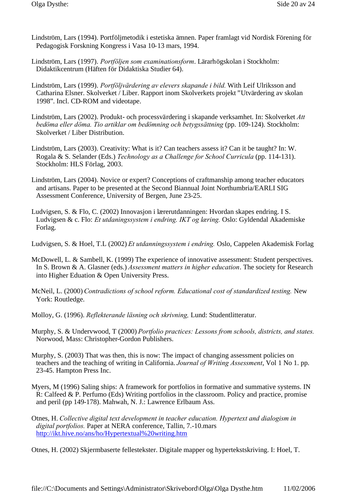- Lindström, Lars (1994). Portföljmetodik i estetiska ämnen. Paper framlagt vid Nordisk Förening för Pedagogisk Forskning Kongress i Vasa 10-13 mars, 1994.
- Lindström, Lars (1997). *Portföljen som examinationsform*. Lärarhögskolan i Stockholm: Didaktikcentrum (Häften för Didaktiska Studier 64).
- Lindström, Lars (1999). *Portföljvärdering av elevers skapande i bild.* With Leif Ulriksson and Catharina Elsner. Skolverket / Liber. Rapport inom Skolverkets projekt "Utvärdering av skolan 1998". Incl. CD-ROM and videotape.
- Lindström, Lars (2002). Produkt- och processvärdering i skapande verksamhet. In: Skolverket *Att bedöma eller döma. Tio artiklar om bedömning och betygssättning* (pp. 109-124). Stockholm: Skolverket / Liber Distribution.
- Lindström, Lars (2003). Creativity: What is it? Can teachers assess it? Can it be taught? In: W. Rogala & S. Selander (Eds.) *Technology as a Challenge for School Curricula* (pp. 114-131). Stockholm: HLS Förlag, 2003.
- Lindström, Lars (2004). Novice or expert? Conceptions of craftmanship among teacher educators and artisans. Paper to be presented at the Second Biannual Joint Northumbria/EARLI SIG Assessment Conference, University of Bergen, June 23-25.
- Ludvigsen, S. & Flo, C. (2002) Innovasjon i lærerutdanningen: Hvordan skapes endring. I S. Ludvigsen & c. Flo: *Et utdaningssystem i endring. IKT og læring.* Oslo: Gyldendal Akademiske Forlag.
- Ludvigsen, S. & Hoel, T.L (2002) *Et utdanningssystem i endring.* Oslo, Cappelen Akademisk Forlag
- McDowell, L. & Sambell, K. (1999) The experience of innovative assessment: Student perspectives. In S. Brown & A. Glasner (eds.) *Assessment matters in higher education*. The society for Research into Higher Eduation & Open University Press.
- McNeil, L. (2000) *Contradictions of school reform. Educational cost of standardized testing.* New York: Routledge.
- Molloy, G. (1996). *Reflekterande läsning och skrivning,* Lund: Studentlitteratur.
- Murphy, S. & Undervwood, T (2000) *Portfolio practices: Lessons from schools, districts, and states.* Norwood, Mass: Christopher-Gordon Publishers.
- Murphy, S. (2003) That was then, this is now: The impact of changing assessment policies on teachers and the teaching of writing in California. *Journal of Writing Assessment*, Vol 1 No 1. pp. 23-45. Hampton Press Inc.
- Myers, M (1996) Saling ships: A framework for portfolios in formative and summative systems. IN R: Calfeed & P. Perfumo (Eds) Writing portfolios in the classroom. Policy and practice, promise and peril (pp 149-178). Mahwah, N. J.: Lawrence Erlbaum Ass.
- Otnes, H. *Collective digital text development in teacher education. Hypertext and dialogism in digital portfolios.* Paper at NERA conference, Tallin, 7.-10.mars http://ikt.hive.no/ans/ho/Hypertextual%20writing.htm

Otnes, H. (2002) Skjermbaserte fellestekster. Digitale mapper og hypertekstskriving. I: Hoel, T.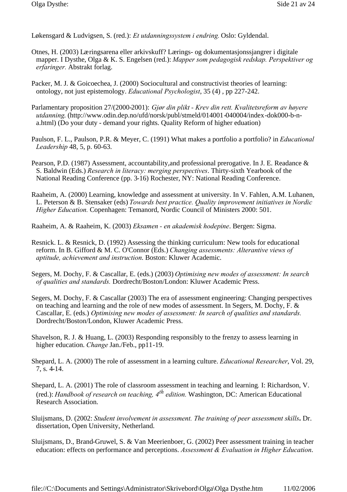Løkensgard & Ludvigsen, S. (red.): *Et utdanningssystem i endring.* Oslo: Gyldendal.

- Otnes, H. (2003) Læringsarena eller arkivskuff? Lærings- og dokumentasjonssjangrer i digitale mapper. I Dysthe, Olga & K. S. Engelsen (red.): *Mapper som pedagogisk redskap. Perspektiver og erfaringer.* Abstrakt forlag.
- Packer, M. J. & Goicoechea, J. (2000) Sociocultural and constructivist theories of learning: ontology, not just epistemology. *Educational Psychologist*, 35 (4) , pp 227-242.
- Parlamentary proposition 27/(2000-2001): *Gjør din plikt - Krev din rett. Kvalitetsreform av høyere utdanning*. (http://www.odin.dep.no/ufd/norsk/publ/stmeld/014001-040004/index-dok000-b-na.html) (Do your duty - demand your rights. Quality Reform of higher eduation)
- Paulson, F. L., Paulson, P.R. & Meyer, C. (1991) What makes a portfolio a portfolio? in *Educational Leadership* 48, 5, p. 60-63.
- Pearson, P.D. (1987) Assessment, accountability,and professional prerogative. In J. E. Readance & S. Baldwin (Eds.) *Research in literacy: merging perspectives*. Thirty-sixth Yearbook of the National Reading Conference (pp. 3-16) Rochester, NY: National Reading Conference.
- Raaheim, A. (2000) Learning, knowledge and assessment at university. In V. Fahlen, A.M. Luhanen, L. Peterson & B. Stensaker (eds) *Towards best practice. Quality improvement initiatives in Nordic Higher Education.* Copenhagen: Temanord, Nordic Council of Ministers 2000: 501.

Raaheim, A. & Raaheim, K. (2003) *Eksamen - en akademisk hodepine*. Bergen: Sigma.

- Resnick. L. & Resnick, D. (1992) Assessing the thinking curriculum: New tools for educational reform. In B. Gifford & M. C. O'Connor (Eds.) *Changing assessments: Alterantive views of aptitude, achievement and instruction*. Boston: Kluwer Academic.
- Segers, M. Dochy, F. & Cascallar, E. (eds.) (2003) *Optimising new modes of assessment: In search of qualities and standards.* Dordrecht/Boston/London: Kluwer Academic Press.
- Segers, M. Dochy, F. & Cascallar (2003) The era of assessment engineering: Changing perspectives on teaching and learning and the role of new modes of assessment. In Segers, M. Dochy, F. & Cascallar, E. (eds.) *Optimising new modes of assessment: In search of qualities and standards.* Dordrecht/Boston/London, Kluwer Academic Press.
- Shavelson, R. J. & Huang, L. (2003) Responding responsibly to the frenzy to assess learning in higher education. *Change* Jan./Feb., pp11-19.
- Shepard, L. A. (2000) The role of assessment in a learning culture. *Educational Researcher*, Vol. 29, 7, s. 4-14.
- Shepard, L. A. (2001) The role of classroom assessment in teaching and learning*.* I: Richardson, V. (red.): *Handbook of research on teaching, 4th edition.* Washington, DC: American Educational Research Association.
- Sluijsmans, D. (2002: *Student involvement in assessment. The training of peer assessment skills***.** Dr. dissertation, Open University, Netherland.
- Sluijsmans, D., Brand-Gruwel, S. & Van Meerienboer, G. (2002) Peer assessment training in teacher education: effects on performance and perceptions. *Assessment & Evaluation in Higher Education*.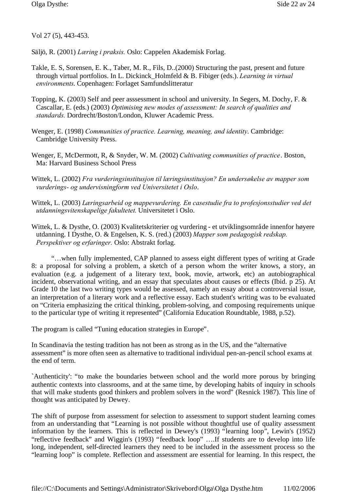Vol 27 (5), 443-453.

Säljö, R. (2001) *Læring i praksis.* Oslo: Cappelen Akademisk Forlag.

- Takle, E. S, Sorensen, E. K., Taber, M. R., Fils, D..(2000) Structuring the past, present and future through virtual portfolios. In L. Dickinck\_Holmfeld & B. Fibiger (eds.). *Learning in virtual environments*. Copenhagen: Forlaget Samfundslitteratur
- Topping, K. (2003) Self and peer asssessment in school and university. In Segers, M. Dochy, F. & Cascallar, E. (eds.) (2003) *Optimising new modes of assessment: In search of qualities and standards.* Dordrecht/Boston/London, Kluwer Academic Press.
- Wenger, E. (1998) *Communities of practice. Learning, meaning, and identity*. Cambridge: Cambridge University Press.
- Wenger, E, McDermott, R, & Snyder, W. M. (2002) *Cultivating communities of practice*. Boston, Ma: Harvard Business School Press
- Wittek, L. (2002) *Fra vurderingsinstitusjon til læringsinstitusjon? En undersøkelse av mapper som vurderings- og undervisningform ved Universitetet i Oslo*.
- Wittek, L. (2003) *Læringsarbeid og mappevurdering. En casestudie fra to profesjonsstudier ved det utdanningsvitenskapelige fakultetet.* Universitetet i Oslo.
- Wittek, L. & Dysthe, O. (2003) Kvalitetskriterier og vurdering et utviklingsområde innenfor høyere utdanning. I Dysthe, O. & Engelsen, K. S. (red.) (2003) *Mapper som pedagogisk redskap. Perspektiver og erfaringer.* Oslo: Abstrakt forlag.

"…when fully implemented, CAP planned to assess eight different types of writing at Grade 8: a proposal for solving a problem, a sketch of a person whom the writer knows, a story, an evaluation (e.g. a judgement of a literary text, book, movie, artwork, etc) an autobiographical incident, observational writing, and an essay that speculates about causes or effects (Ibid. p 25). At Grade 10 the last two writing types would be assessed, namely an essay about a controversial issue, an interpretation of a literary work and a reflective essay. Each student's writing was to be evaluated on "Criteria emphasizing the critical thinking, problem-solving, and composing requirements unique to the particular type of writing it represented" (California Education Roundtable, 1988, p.52).

The program is called "Tuning education strategies in Europe".

In Scandinavia the testing tradition has not been as strong as in the US, and the "alternative assessment" is more often seen as alternative to traditional individual pen-an-pencil school exams at the end of term.

`Authenticity': "to make the boundaries between school and the world more porous by bringing authentic contexts into classrooms, and at the same time, by developing habits of inquiry in schools that will make students good thinkers and problem solvers in the word" (Resnick 1987). This line of thought was anticipated by Dewey.

The shift of purpose from assessment for selection to assessment to support student learning comes from an understanding that "Learning is not possible without thoughtful use of quality assessment information by the learners. This is reflected in Dewey's (1993) "learning loop", Lewin's (1952) "reflective feedback" and Wiggin's (1993) "feedback loop" ….If students are to develop into life long, independent, self-directed learners they need to be included in the assessment process so the "learning loop" is complete. Reflection and assessment are essential for learning. In this respect, the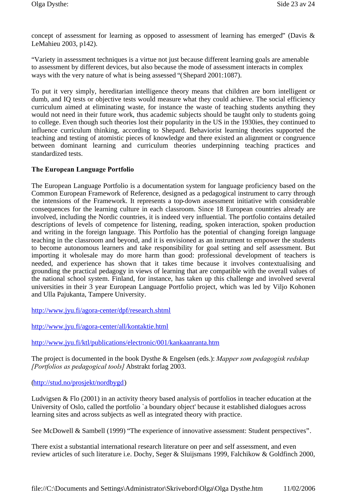concept of assessment for learning as opposed to assessment of learning has emerged" (Davis & LeMahieu 2003, p142).

"Variety in assessment techniques is a virtue not just because different learning goals are amenable to assessment by different devices, but also because the mode of assessment interacts in complex ways with the very nature of what is being assessed "(Shepard 2001:1087).

To put it very simply, hereditarian intelligence theory means that children are born intelligent or dumb, and IQ tests or objective tests would measure what they could achieve. The social efficiency curriculum aimed at eliminating waste, for instance the waste of teaching students anything they would not need in their future work, thus academic subjects should be taught only to students going to college. Even though such theories lost their popularity in the US in the 1930ies, they continued to influence curriculum thinking, according to Shepard. Behaviorist learning theories supported the teaching and testing of atomistic pieces of knowledge and there existed an alignment or congruence between dominant learning and curriculum theories underpinning teaching practices and standardized tests.

#### **The European Language Portfolio**

The European Language Portfolio is a documentation system for language proficiency based on the Common European Framework of Reference, designed as a pedagogical instrument to carry through the intensions of the Framework. It represents a top-down assessment initiative with considerable consequences for the learning culture in each classroom. Since 18 European countries already are involved, including the Nordic countries, it is indeed very influential. The portfolio contains detailed descriptions of levels of competence for listening, reading, spoken interaction, spoken production and writing in the foreign language. This Portfolio has the potential of changing foreign language teaching in the classroom and beyond, and it is envisioned as an instrument to empower the students to become autonomous learners and take responsibility for goal setting and self assessment. But importing it wholesale may do more harm than good: professional development of teachers is needed, and experience has shown that it takes time because it involves contextualising and grounding the practical pedagogy in views of learning that are compatible with the overall values of the national school system. Finland, for instance, has taken up this challenge and involved several universities in their 3 year European Language Portfolio project, which was led by Viljo Kohonen and Ulla Pajukanta, Tampere University.

http://www.jyu.fi/agora-center/dpf/research.shtml

http://www.jyu.fi/agora-center/all/kontaktie.html

http://www.jyu.fi/ktl/publications/electronic/001/kankaanranta.htm

The project is documented in the book Dysthe & Engelsen (eds.): *Mapper som pedagogisk redskap [Portfolios as pedagogical tools]* Abstrakt forlag 2003.

#### (http://stud.no/prosjekt/nordbygd)

Ludvigsen & Flo (2001) in an activity theory based analysis of portfolios in teacher education at the University of Oslo, called the portfolio `a boundary object' because it established dialogues across learning sites and across subjects as well as integrated theory with practice.

See McDowell & Sambell (1999) "The experience of innovative assessment: Student perspectives".

There exist a substantial international research literature on peer and self assessment, and even review articles of such literature i.e. Dochy, Seger & Sluijsmans 1999, Falchikow & Goldfinch 2000,